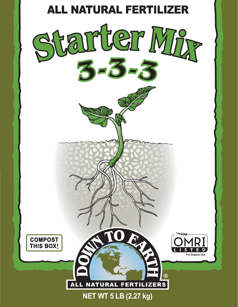